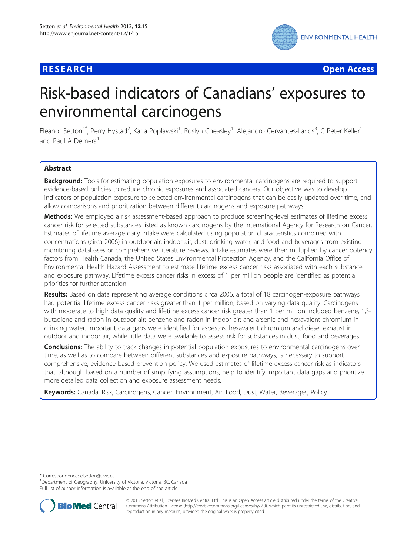### **RESEARCH CHEAR CHEAR CHEAR CHEAR CHEAR CHEAR CHEAR CHEAR CHEAR CHEAR CHEAR CHEAR CHEAR CHEAR CHEAR CHEAR CHEAR**



# Risk-based indicators of Canadians' exposures to environmental carcinogens

Eleanor Setton<sup>1\*</sup>, Perry Hystad<sup>2</sup>, Karla Poplawski<sup>1</sup>, Roslyn Cheasley<sup>1</sup>, Alejandro Cervantes-Larios<sup>3</sup>, C Peter Keller<sup>1</sup> and Paul A Demers<sup>4</sup>

#### Abstract

**Background:** Tools for estimating population exposures to environmental carcinogens are required to support evidence-based policies to reduce chronic exposures and associated cancers. Our objective was to develop indicators of population exposure to selected environmental carcinogens that can be easily updated over time, and allow comparisons and prioritization between different carcinogens and exposure pathways.

Methods: We employed a risk assessment-based approach to produce screening-level estimates of lifetime excess cancer risk for selected substances listed as known carcinogens by the International Agency for Research on Cancer. Estimates of lifetime average daily intake were calculated using population characteristics combined with concentrations (circa 2006) in outdoor air, indoor air, dust, drinking water, and food and beverages from existing monitoring databases or comprehensive literature reviews. Intake estimates were then multiplied by cancer potency factors from Health Canada, the United States Environmental Protection Agency, and the California Office of Environmental Health Hazard Assessment to estimate lifetime excess cancer risks associated with each substance and exposure pathway. Lifetime excess cancer risks in excess of 1 per million people are identified as potential priorities for further attention.

Results: Based on data representing average conditions circa 2006, a total of 18 carcinogen-exposure pathways had potential lifetime excess cancer risks greater than 1 per million, based on varying data quality. Carcinogens with moderate to high data quality and lifetime excess cancer risk greater than 1 per million included benzene, 1,3 butadiene and radon in outdoor air; benzene and radon in indoor air; and arsenic and hexavalent chromium in drinking water. Important data gaps were identified for asbestos, hexavalent chromium and diesel exhaust in outdoor and indoor air, while little data were available to assess risk for substances in dust, food and beverages.

Conclusions: The ability to track changes in potential population exposures to environmental carcinogens over time, as well as to compare between different substances and exposure pathways, is necessary to support comprehensive, evidence-based prevention policy. We used estimates of lifetime excess cancer risk as indicators that, although based on a number of simplifying assumptions, help to identify important data gaps and prioritize more detailed data collection and exposure assessment needs.

Keywords: Canada, Risk, Carcinogens, Cancer, Environment, Air, Food, Dust, Water, Beverages, Policy

\* Correspondence: [elsetton@uvic.ca](mailto:elsetton@uvic.ca) <sup>1</sup>

<sup>1</sup>Department of Geography, University of Victoria, Victoria, BC, Canada Full list of author information is available at the end of the article



© 2013 Setton et al.; licensee BioMed Central Ltd. This is an Open Access article distributed under the terms of the Creative Commons Attribution License [\(http://creativecommons.org/licenses/by/2.0\)](http://creativecommons.org/licenses/by/2.0), which permits unrestricted use, distribution, and reproduction in any medium, provided the original work is properly cited.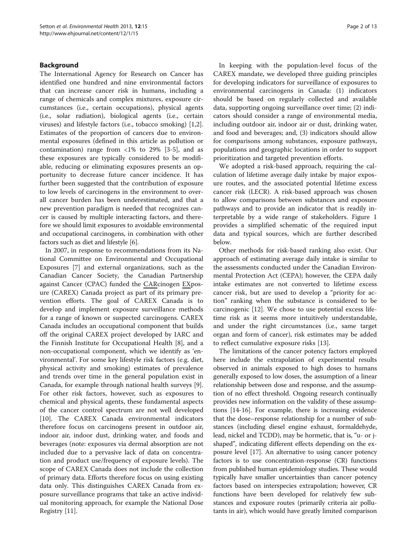#### Background

The International Agency for Research on Cancer has identified one hundred and nine environmental factors that can increase cancer risk in humans, including a range of chemicals and complex mixtures, exposure circumstances (i.e., certain occupations), physical agents (i.e., solar radiation), biological agents (i.e., certain viruses) and lifestyle factors (i.e., tobacco smoking) [\[1,2](#page-11-0)]. Estimates of the proportion of cancers due to environmental exposures (defined in this article as pollution or contamination) range from  $\langle 1\%$  to 29% [\[3-5](#page-11-0)], and as these exposures are typically considered to be modifiable, reducing or eliminating exposures presents an opportunity to decrease future cancer incidence. It has further been suggested that the contribution of exposure to low levels of carcinogens in the environment to overall cancer burden has been underestimated, and that a new prevention paradigm is needed that recognizes cancer is caused by multiple interacting factors, and therefore we should limit exposures to avoidable environmental and occupational carcinogens, in combination with other factors such as diet and lifestyle [\[6](#page-11-0)].

In 2007, in response to recommendations from its National Committee on Environmental and Occupational Exposures [[7\]](#page-11-0) and external organizations, such as the Canadian Cancer Society, the Canadian Partnership against Cancer (CPAC) funded the CARcinogen EXposure (CAREX) Canada project as part of its primary prevention efforts. The goal of CAREX Canada is to develop and implement exposure surveillance methods for a range of known or suspected carcinogens. CAREX Canada includes an occupational component that builds off the original CAREX project developed by IARC and the Finnish Institute for Occupational Health [\[8](#page-11-0)], and a non-occupational component, which we identify as 'environmental'. For some key lifestyle risk factors (e.g. diet, physical activity and smoking) estimates of prevalence and trends over time in the general population exist in Canada, for example through national health surveys [\[9](#page-11-0)]. For other risk factors, however, such as exposures to chemical and physical agents, these fundamental aspects of the cancer control spectrum are not well developed [[10\]](#page-11-0). The CAREX Canada environmental indicators therefore focus on carcinogens present in outdoor air, indoor air, indoor dust, drinking water, and foods and beverages (note: exposures via dermal absorption are not included due to a pervasive lack of data on concentration and product use/frequency of exposure levels). The scope of CAREX Canada does not include the collection of primary data. Efforts therefore focus on using existing data only. This distinguishes CAREX Canada from exposure surveillance programs that take an active individual monitoring approach, for example the National Dose Registry [[11](#page-11-0)].

In keeping with the population-level focus of the CAREX mandate, we developed three guiding principles for developing indicators for surveillance of exposures to environmental carcinogens in Canada: (1) indicators should be based on regularly collected and available data, supporting ongoing surveillance over time; (2) indicators should consider a range of environmental media, including outdoor air, indoor air or dust, drinking water, and food and beverages; and, (3) indicators should allow for comparisons among substances, exposure pathways, populations and geographic locations in order to support prioritization and targeted prevention efforts.

We adopted a risk-based approach, requiring the calculation of lifetime average daily intake by major exposure routes, and the associated potential lifetime excess cancer risk (LECR). A risk-based approach was chosen to allow comparisons between substances and exposure pathways and to provide an indicator that is readily interpretable by a wide range of stakeholders. Figure [1](#page-2-0) provides a simplified schematic of the required input data and typical sources, which are further described below.

Other methods for risk-based ranking also exist. Our approach of estimating average daily intake is similar to the assessments conducted under the Canadian Environmental Protection Act (CEPA); however, the CEPA daily intake estimates are not converted to lifetime excess cancer risk, but are used to develop a "priority for action" ranking when the substance is considered to be carcinogenic [[12\]](#page-11-0). We chose to use potential excess lifetime risk as it seems more intuitively understandable, and under the right circumstances (i.e., same target organ and form of cancer), risk estimates may be added to reflect cumulative exposure risks [[13\]](#page-11-0).

The limitations of the cancer potency factors employed here include the extrapolation of experimental results observed in animals exposed to high doses to humans generally exposed to low doses, the assumption of a linear relationship between dose and response, and the assumption of no effect threshold. Ongoing research continually provides new information on the validity of these assumptions [\[14-16\]](#page-11-0). For example, there is increasing evidence that the dose–response relationship for a number of substances (including diesel engine exhaust, formaldehyde, lead, nickel and TCDD), may be hormetic, that is, "u- or jshaped", indicating different effects depending on the exposure level [\[17\]](#page-11-0). An alternative to using cancer potency factors is to use concentration-response (CR) functions from published human epidemiology studies. These would typically have smaller uncertainties than cancer potency factors based on interspecies extrapolation; however, CR functions have been developed for relatively few substances and exposure routes (primarily criteria air pollutants in air), which would have greatly limited comparison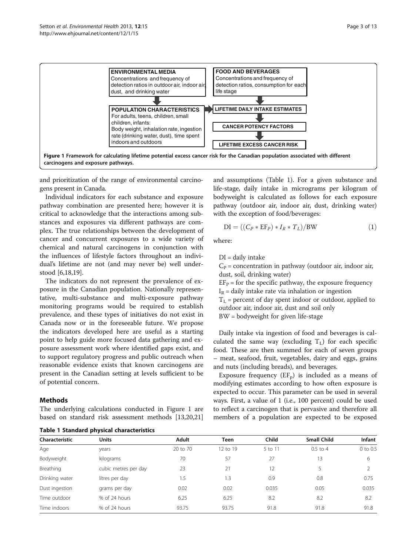<span id="page-2-0"></span>

and prioritization of the range of environmental carcinogens present in Canada.

Individual indicators for each substance and exposure pathway combination are presented here; however it is critical to acknowledge that the interactions among substances and exposures via different pathways are complex. The true relationships between the development of cancer and concurrent exposures to a wide variety of chemical and natural carcinogens in conjunction with the influences of lifestyle factors throughout an individual's lifetime are not (and may never be) well understood [\[6,18,19\]](#page-11-0).

The indicators do not represent the prevalence of exposure in the Canadian population. Nationally representative, multi-substance and multi-exposure pathway monitoring programs would be required to establish prevalence, and these types of initiatives do not exist in Canada now or in the foreseeable future. We propose the indicators developed here are useful as a starting point to help guide more focused data gathering and exposure assessment work where identified gaps exist, and to support regulatory progress and public outreach when reasonable evidence exists that known carcinogens are present in the Canadian setting at levels sufficient to be of potential concern.

#### Methods

The underlying calculations conducted in Figure 1 are based on standard risk assessment methods [[13](#page-11-0),[20](#page-11-0),[21](#page-11-0)]

| <b>Table 1 Standard physical characteristics</b> |  |  |
|--------------------------------------------------|--|--|
|--------------------------------------------------|--|--|

and assumptions (Table 1). For a given substance and life-stage, daily intake in micrograms per kilogram of bodyweight is calculated as follows for each exposure pathway (outdoor air, indoor air, dust, drinking water) with the exception of food/beverages:

$$
DI = ((C_P * EF_P) * I_R * T_L)/BW
$$
 (1)

where:

 $DI =$  daily intake

 $C_P$  = concentration in pathway (outdoor air, indoor air, dust, soil, drinking water)

 $EF<sub>P</sub>$  = for the specific pathway, the exposure frequency

 $I_R$  = daily intake rate via inhalation or ingestion

 $T_L$  = percent of day spent indoor or outdoor, applied to outdoor air, indoor air, dust and soil only

BW = bodyweight for given life-stage

Daily intake via ingestion of food and beverages is calculated the same way (excluding  $T_L$ ) for each specific food. These are then summed for each of seven groups – meat, seafood, fruit, vegetables, dairy and eggs, grains and nuts (including breads), and beverages.

Exposure frequency  $(EF_p)$  is included as a means of modifying estimates according to how often exposure is expected to occur. This parameter can be used in several ways. First, a value of 1 (i.e., 100 percent) could be used to reflect a carcinogen that is pervasive and therefore all members of a population are expected to be exposed

| Characteristic | <b>Units</b>         | <b>Adult</b> | <b>Teen</b> | Child   | <b>Small Child</b> | Infant   |
|----------------|----------------------|--------------|-------------|---------|--------------------|----------|
| Age            | years                | 20 to 70     | 12 to 19    | 5 to 11 | $0.5$ to 4         | 0 to 0.5 |
| Bodyweight     | kilograms            | 70           | 57          | 27      | 13                 | 6        |
| Breathing      | cubic metres per day | 23           | 21          | 12      | 5                  |          |
| Drinking water | litres per day       | 1.5          | 1.3         | 0.9     | 0.8                | 0.75     |
| Dust ingestion | grams per day        | 0.02         | 0.02        | 0.035   | 0.05               | 0.035    |
| Time outdoor   | % of 24 hours        | 6.25         | 6.25        | 8.2     | 8.2                | 8.2      |
| Time indoors   | % of 24 hours        | 93.75        | 93.75       | 91.8    | 91.8               | 91.8     |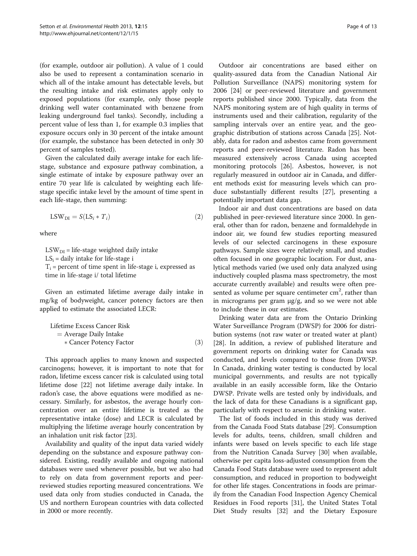(for example, outdoor air pollution). A value of 1 could also be used to represent a contamination scenario in which all of the intake amount has detectable levels, but the resulting intake and risk estimates apply only to exposed populations (for example, only those people drinking well water contaminated with benzene from leaking underground fuel tanks). Secondly, including a percent value of less than 1, for example 0.3 implies that exposure occurs only in 30 percent of the intake amount (for example, the substance has been detected in only 30 percent of samples tested).

Given the calculated daily average intake for each lifestage, substance and exposure pathway combination, a single estimate of intake by exposure pathway over an entire 70 year life is calculated by weighting each lifestage specific intake level by the amount of time spent in each life-stage, then summing:

$$
LSW_{DI} = S(LS_i * T_i)
$$
 (2)

where

 $LSW<sub>DI</sub> = life-stage weighted daily intake$  $LS_i =$  daily intake for life-stage i  $T_i$  = percent of time spent in life-stage i, expressed as time in life-stage i/ total lifetime

Given an estimated lifetime average daily intake in mg/kg of bodyweight, cancer potency factors are then applied to estimate the associated LECR:

Lifetime Excess Cancer Risk ¼ Average Daily Intake -Cancer Potency Factor ð3Þ

This approach applies to many known and suspected carcinogens; however, it is important to note that for radon, lifetime excess cancer risk is calculated using total lifetime dose [[22\]](#page-11-0) not lifetime average daily intake. In radon's case, the above equations were modified as necessary. Similarly, for asbestos, the average hourly concentration over an entire lifetime is treated as the representative intake (dose) and LECR is calculated by multiplying the lifetime average hourly concentration by an inhalation unit risk factor [\[23](#page-11-0)].

Availability and quality of the input data varied widely depending on the substance and exposure pathway considered. Existing, readily available and ongoing national databases were used whenever possible, but we also had to rely on data from government reports and peerreviewed studies reporting measured concentrations. We used data only from studies conducted in Canada, the US and northern European countries with data collected in 2000 or more recently.

Outdoor air concentrations are based either on quality-assured data from the Canadian National Air Pollution Surveillance (NAPS) monitoring system for 2006 [[24](#page-11-0)] or peer-reviewed literature and government reports published since 2000. Typically, data from the NAPS monitoring system are of high quality in terms of instruments used and their calibration, regularity of the sampling intervals over an entire year, and the geographic distribution of stations across Canada [[25\]](#page-11-0). Notably, data for radon and asbestos came from government reports and peer-reviewed literature. Radon has been measured extensively across Canada using accepted monitoring protocols [\[26](#page-11-0)]. Asbestos, however, is not regularly measured in outdoor air in Canada, and different methods exist for measuring levels which can produce substantially different results [[27\]](#page-11-0), presenting a potentially important data gap.

Indoor air and dust concentrations are based on data published in peer-reviewed literature since 2000. In general, other than for radon, benzene and formaldehyde in indoor air, we found few studies reporting measured levels of our selected carcinogens in these exposure pathways. Sample sizes were relatively small, and studies often focused in one geographic location. For dust, analytical methods varied (we used only data analyzed using inductively coupled plasma mass spectrometry, the most accurate currently available) and results were often presented as volume per square centimeter  $cm<sup>2</sup>$ , rather than in micrograms per gram μg/g, and so we were not able to include these in our estimates.

Drinking water data are from the Ontario Drinking Water Surveillance Program (DWSP) for 2006 for distribution systems (not raw water or treated water at plant) [[28\]](#page-11-0). In addition, a review of published literature and government reports on drinking water for Canada was conducted, and levels compared to those from DWSP. In Canada, drinking water testing is conducted by local municipal governments, and results are not typically available in an easily accessible form, like the Ontario DWSP. Private wells are tested only by individuals, and the lack of data for these Canadians is a significant gap, particularly with respect to arsenic in drinking water.

The list of foods included in this study was derived from the Canada Food Stats database [\[29](#page-11-0)]. Consumption levels for adults, teens, children, small children and infants were based on levels specific to each life stage from the Nutrition Canada Survey [\[30](#page-11-0)] when available, otherwise per capita loss-adjusted consumption from the Canada Food Stats database were used to represent adult consumption, and reduced in proportion to bodyweight for other life stages. Concentrations in foods are primarily from the Canadian Food Inspection Agency Chemical Residues in Food reports [\[31\]](#page-11-0), the United States Total Diet Study results [[32](#page-11-0)] and the Dietary Exposure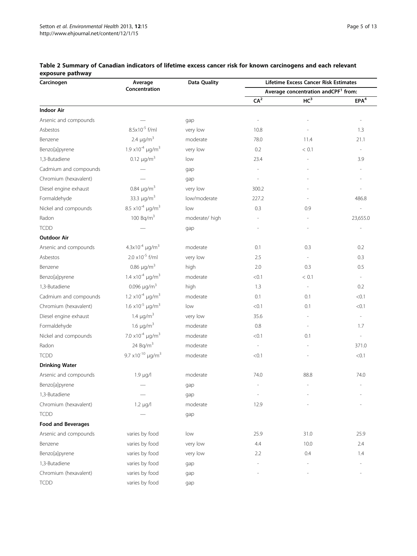| Carcinogen            | Average                                 | <b>Data Quality</b> | <b>Lifetime Excess Cancer Risk Estimates</b>    |                          |                          |  |  |  |
|-----------------------|-----------------------------------------|---------------------|-------------------------------------------------|--------------------------|--------------------------|--|--|--|
|                       | Concentration                           |                     | Average concentration andCPF <sup>1</sup> from: |                          |                          |  |  |  |
|                       |                                         |                     | CA <sup>2</sup>                                 | HC <sup>3</sup>          | EPA <sup>4</sup>         |  |  |  |
| <b>Indoor Air</b>     |                                         |                     |                                                 |                          |                          |  |  |  |
| Arsenic and compounds |                                         | gap                 | $\overline{\phantom{a}}$                        |                          |                          |  |  |  |
| Asbestos              | $8.5 \times 10^{-5}$ f/ml               | very low            | 10.8                                            |                          | 1.3                      |  |  |  |
| Benzene               | 2.4 $\mu$ g/m <sup>3</sup>              | moderate            | 78.0                                            | 11.4                     | 21.1                     |  |  |  |
| Benzo[a]pyrene        | $1.9 \times 10^{-4}$ µg/m <sup>3</sup>  | very low            | 0.2                                             | < 0.1                    |                          |  |  |  |
| 1,3-Butadiene         | $0.12 \mu g/m^3$                        | low                 | 23.4                                            |                          | 3.9                      |  |  |  |
| Cadmium and compounds |                                         | qap                 |                                                 |                          |                          |  |  |  |
| Chromium (hexavalent) |                                         | gap                 | $\overline{\phantom{a}}$                        |                          |                          |  |  |  |
| Diesel engine exhaust | $0.84 \mu g/m^3$                        | very low            | 300.2                                           |                          |                          |  |  |  |
| Formaldehyde          | 33.3 $\mu$ g/m <sup>3</sup>             | low/moderate        | 227.2                                           |                          | 486.8                    |  |  |  |
| Nickel and compounds  | $8.5 \times 10^{-4}$ µg/m <sup>3</sup>  | low                 | 0.3                                             | 0.9                      |                          |  |  |  |
| Radon                 | 100 $Bq/m^3$                            | moderate/high       |                                                 |                          | 23,655.0                 |  |  |  |
| <b>TCDD</b>           |                                         | gap                 |                                                 |                          |                          |  |  |  |
| <b>Outdoor Air</b>    |                                         |                     |                                                 |                          |                          |  |  |  |
| Arsenic and compounds | $4.3 \times 10^{-4}$ µg/m <sup>3</sup>  | moderate            | 0.1                                             | 0.3                      | 0.2                      |  |  |  |
| Asbestos              | $2.0 \times 10^{-5}$ f/ml               | very low            | 2.5                                             | $\sim$                   | 0.3                      |  |  |  |
| Benzene               | 0.86 $\mu$ g/m <sup>3</sup>             | high                | 2.0                                             | 0.3                      | 0.5                      |  |  |  |
| Benzo[a]pyrene        | $1.4 \times 10^{-4}$ µg/m <sup>3</sup>  | moderate            | < 0.1                                           | < 0.1                    | $\overline{\phantom{a}}$ |  |  |  |
| 1,3-Butadiene         | 0.096 $\mu$ g/m <sup>3</sup>            | high                | 1.3                                             | $\overline{\phantom{a}}$ | 0.2                      |  |  |  |
| Cadmium and compounds | $1.2 \times 10^{-4}$ µg/m <sup>3</sup>  | moderate            | 0.1                                             | 0.1                      | < 0.1                    |  |  |  |
| Chromium (hexavalent) | $1.6 \times 10^{-5}$ µg/m <sup>3</sup>  | low                 | < 0.1                                           | 0.1                      | < 0.1                    |  |  |  |
| Diesel engine exhaust | 1.4 $\mu$ g/m <sup>3</sup>              | very low            | 35.6                                            |                          | $\mathcal{L}$            |  |  |  |
| Formaldehyde          | 1.6 $\mu$ g/m <sup>3</sup>              | moderate            | 0.8                                             | ÷                        | 1.7                      |  |  |  |
| Nickel and compounds  | $7.0 \times 10^{-4}$ µg/m <sup>3</sup>  | moderate            | < 0.1                                           | 0.1                      | $\overline{\phantom{a}}$ |  |  |  |
| Radon                 | 24 $Bq/m3$                              | moderate            | $\bar{\phantom{a}}$                             |                          | 371.0                    |  |  |  |
| <b>TCDD</b>           | $9.7 \times 10^{-10}$ µg/m <sup>3</sup> | moderate            | < 0.1                                           |                          | < 0.1                    |  |  |  |
| <b>Drinking Water</b> |                                         |                     |                                                 |                          |                          |  |  |  |
| Arsenic and compounds | $1.9 \mu g/l$                           | moderate            | 74.0                                            | 88.8                     | 74.0                     |  |  |  |
| Benzo[a]pyrene        |                                         | gap                 |                                                 |                          |                          |  |  |  |
| 1.3-Rutadiono         |                                         | 02D                 | $\sim$                                          |                          | $\sim$                   |  |  |  |

#### <span id="page-4-0"></span>Table 2 Summary of Canadian indicators of lifetime excess cancer risk for known carcinogens and each relevant exposure

| THERET QUID COLLIDOOLIUS  | $7.0 \times 10^{6}$ $\mu$ g/ $\pi$      | <b>THOUGIQLE</b> | $\sim$ U.I               | U.1                      |                          |
|---------------------------|-----------------------------------------|------------------|--------------------------|--------------------------|--------------------------|
| Radon                     | 24 $Bq/m3$                              | moderate         | $\overline{\phantom{a}}$ | $\overline{\phantom{a}}$ | 371.0                    |
| <b>TCDD</b>               | $9.7 \times 10^{-10}$ µg/m <sup>3</sup> | moderate         | < 0.1                    | $\overline{\phantom{a}}$ | < 0.1                    |
| <b>Drinking Water</b>     |                                         |                  |                          |                          |                          |
| Arsenic and compounds     | $1.9 \mu q/l$                           | moderate         | 74.0                     | 88.8                     | 74.0                     |
| Benzo[a]pyrene            |                                         | gap              | $\overline{\phantom{a}}$ | $\overline{\phantom{a}}$ | $\overline{\phantom{a}}$ |
| 1,3-Butadiene             |                                         | gap              | $\overline{\phantom{a}}$ | $\overline{\phantom{a}}$ |                          |
| Chromium (hexavalent)     | $1.2 \mu g/l$                           | moderate         | 12.9                     |                          |                          |
| <b>TCDD</b>               |                                         | gap              |                          |                          |                          |
| <b>Food and Beverages</b> |                                         |                  |                          |                          |                          |
| Arsenic and compounds     | varies by food                          | low              | 25.9                     | 31.0                     | 25.9                     |
| Benzene                   | varies by food                          | very low         | 4.4                      | 10.0                     | 2.4                      |
| Benzo[a]pyrene            | varies by food                          | very low         | 2.2                      | 0.4                      | 1.4                      |
| 1,3-Butadiene             | varies by food                          | gap              | $\overline{\phantom{a}}$ | $\overline{\phantom{a}}$ |                          |
| Chromium (hexavalent)     | varies by food                          | gap              |                          |                          |                          |
| <b>TCDD</b>               | varies by food                          | gap              |                          |                          |                          |
|                           |                                         |                  |                          |                          |                          |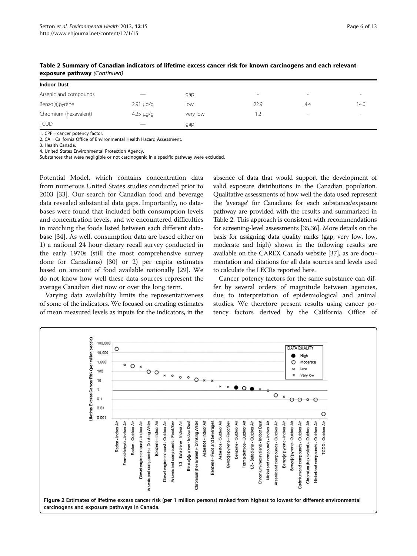| <b>Indoor Dust</b>    |                                 |          |        |                          |        |
|-----------------------|---------------------------------|----------|--------|--------------------------|--------|
| Arsenic and compounds | $\hspace{0.1mm}-\hspace{0.1mm}$ | gap      | $\sim$ | $\sim$                   | $\sim$ |
| Benzo[a]pyrene        | $2.91 \mu g/g$                  | low      | 22.9   | 4.4                      | 14.0   |
| Chromium (hexavalent) | 4.25 $\mu$ g/g                  | very low | 1.2    | $\overline{\phantom{a}}$ | $\sim$ |
| <b>TCDD</b>           |                                 | gap      |        |                          |        |

<span id="page-5-0"></span>Table 2 Summary of Canadian indicators of lifetime excess cancer risk for known carcinogens and each relevant exposure pathway (Continued)

1. CPF = cancer potency factor.

2. CA = California Office of Environmental Health Hazard Assessment.

3. Health Canada.

4. United States Environmental Protection Agency.

Substances that were negligible or not carcinogenic in a specific pathway were excluded.

Potential Model, which contains concentration data from numerous United States studies conducted prior to 2003 [[33\]](#page-11-0). Our search for Canadian food and beverage data revealed substantial data gaps. Importantly, no databases were found that included both consumption levels and concentration levels, and we encountered difficulties in matching the foods listed between each different database [[34\]](#page-11-0). As well, consumption data are based either on 1) a national 24 hour dietary recall survey conducted in the early 1970s (still the most comprehensive survey done for Canadians) [\[30](#page-11-0)] or 2) per capita estimates based on amount of food available nationally [[29\]](#page-11-0). We do not know how well these data sources represent the average Canadian diet now or over the long term.

Varying data availability limits the representativeness of some of the indicators. We focused on creating estimates of mean measured levels as inputs for the indicators, in the absence of data that would support the development of valid exposure distributions in the Canadian population. Qualitative assessments of how well the data used represent the 'average' for Canadians for each substance/exposure pathway are provided with the results and summarized in Table [2](#page-4-0). This approach is consistent with recommendations for screening-level assessments [\[35,36](#page-11-0)]. More details on the basis for assigning data quality ranks (gap, very low, low, moderate and high) shown in the following results are available on the CAREX Canada website [\[37](#page-11-0)], as are documentation and citations for all data sources and levels used to calculate the LECRs reported here.

Cancer potency factors for the same substance can differ by several orders of magnitude between agencies, due to interpretation of epidemiological and animal studies. We therefore present results using cancer potency factors derived by the California Office of

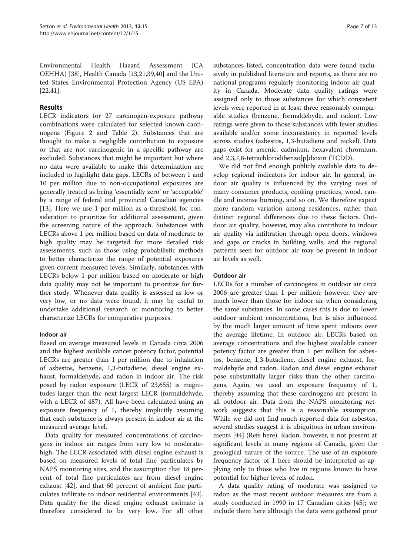Environmental Health Hazard Assessment (CA OEHHA) [\[38](#page-11-0)], Health Canada [\[13,21,39,40](#page-11-0)] and the United States Environmental Protection Agency (US EPA) [[22,41\]](#page-11-0).

#### Results

LECR indicators for 27 carcinogen-exposure pathway combinations were calculated for selected known carcinogens (Figure [2](#page-5-0) and Table [2\)](#page-4-0). Substances that are thought to make a negligible contribution to exposure or that are not carcinogenic in a specific pathway are excluded. Substances that might be important but where no data were available to make this determination are included to highlight data gaps. LECRs of between 1 and 10 per million due to non-occupational exposures are generally treated as being 'essentially zero' or 'acceptable' by a range of federal and provincial Canadian agencies [[13\]](#page-11-0). Here we use 1 per million as a threshold for consideration to prioritize for additional assessment, given the screening nature of the approach. Substances with LECRs above 1 per million based on data of moderate to high quality may be targeted for more detailed risk assessments, such as those using probabilistic methods to better characterize the range of potential exposures given current measured levels. Similarly, substances with LECRs below 1 per million based on moderate or high data quality may not be important to prioritize for further study. Whenever data quality is assessed as low or very low, or no data were found, it may be useful to undertake additional research or monitoring to better characterize LECRs for comparative purposes.

#### Indoor air

Based on average measured levels in Canada circa 2006 and the highest available cancer potency factor, potential LECRs are greater than 1 per million due to inhalation of asbestos, benzene, 1,3-butadiene, diesel engine exhaust, formaldehyde, and radon in indoor air. The risk posed by radon exposure (LECR of 23,655) is magnitudes larger than the next largest LECR (formaldehyde, with a LECR of 487). All have been calculated using an exposure frequency of 1, thereby implicitly assuming that each substance is always present in indoor air at the measured average level.

Data quality for measured concentrations of carcinogens in indoor air ranges from very low to moderatehigh. The LECR associated with diesel engine exhaust is based on measured levels of total fine particulates by NAPS monitoring sites, and the assumption that 18 percent of total fine particulates are from diesel engine exhaust [[42\]](#page-11-0), and that 60 percent of ambient fine particulates infiltrate to indoor residential environments [\[43](#page-12-0)]. Data quality for the diesel engine exhaust estimate is therefore considered to be very low. For all other

substances listed, concentration data were found exclusively in published literature and reports, as there are no national programs regularly monitoring indoor air quality in Canada. Moderate data quality ratings were assigned only to those substances for which consistent levels were reported in at least three reasonably comparable studies (benzene, formaldehyde, and radon). Low ratings were given to those substances with fewer studies available and/or some inconsistency in reported levels across studies (asbestos, 1,3-butadiene and nickel). Data gaps exist for arsenic, cadmium, hexavalent chromium, and 2,3,7,8-tetrachlorodibenzo[p]dioxin (TCDD).

We did not find enough publicly available data to develop regional indicators for indoor air. In general, indoor air quality is influenced by the varying uses of many consumer products, cooking practices, wood, candle and incense burning, and so on. We therefore expect more random variation among residences, rather than distinct regional differences due to these factors. Outdoor air quality, however, may also contribute to indoor air quality via infiltration through open doors, windows and gaps or cracks in building walls, and the regional patterns seen for outdoor air may be present in indoor air levels as well.

#### Outdoor air

LECRs for a number of carcinogens in outdoor air circa 2006 are greater than 1 per million; however, they are much lower than those for indoor air when considering the same substances. In some cases this is due to lower outdoor ambient concentrations, but is also influenced by the much larger amount of time spent indoors over the average lifetime. In outdoor air, LECRs based on average concentrations and the highest available cancer potency factor are greater than 1 per million for asbestos, benzene, 1,3-butadiene, diesel engine exhaust, formaldehyde and radon. Radon and diesel engine exhaust pose substantially larger risks than the other carcinogens. Again, we used an exposure frequency of 1, thereby assuming that these carcinogens are present in all outdoor air. Data from the NAPS monitoring network suggests that this is a reasonable assumption. While we did not find much reported data for asbestos, several studies suggest it is ubiquitous in urban environments [[44\]](#page-12-0) (Refs here). Radon, however, is not present at significant levels in many regions of Canada, given the geological nature of the source. The use of an exposure frequency factor of 1 here should be interpreted as applying only to those who live in regions known to have potential for higher levels of radon.

A data quality rating of moderate was assigned to radon as the most recent outdoor measures are from a study conducted in 1990 in 17 Canadian cities [\[45](#page-12-0)]; we include them here although the data were gathered prior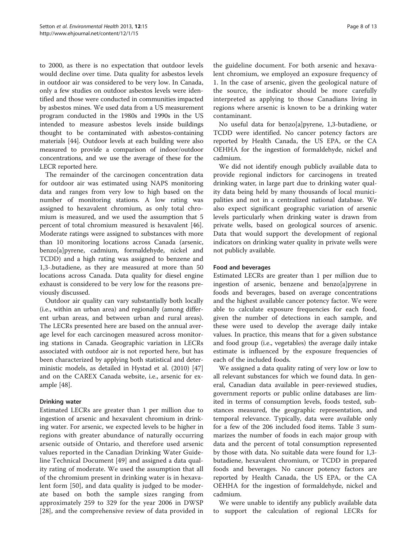to 2000, as there is no expectation that outdoor levels would decline over time. Data quality for asbestos levels in outdoor air was considered to be very low. In Canada, only a few studies on outdoor asbestos levels were identified and those were conducted in communities impacted by asbestos mines. We used data from a US measurement program conducted in the 1980s and 1990s in the US intended to measure asbestos levels inside buildings thought to be contaminated with asbestos-containing materials [[44\]](#page-12-0). Outdoor levels at each building were also measured to provide a comparison of indoor/outdoor concentrations, and we use the average of these for the LECR reported here.

The remainder of the carcinogen concentration data for outdoor air was estimated using NAPS monitoring data and ranges from very low to high based on the number of monitoring stations. A low rating was assigned to hexavalent chromium, as only total chromium is measured, and we used the assumption that 5 percent of total chromium measured is hexavalent [\[46](#page-12-0)]. Moderate ratings were assigned to substances with more than 10 monitoring locations across Canada (arsenic, benzo[a]pyrene, cadmium, formaldehyde, nickel and TCDD) and a high rating was assigned to benzene and 1,3-.butadiene, as they are measured at more than 50 locations across Canada. Data quality for diesel engine exhaust is considered to be very low for the reasons previously discussed.

Outdoor air quality can vary substantially both locally (i.e., within an urban area) and regionally (among different urban areas, and between urban and rural areas). The LECRs presented here are based on the annual average level for each carcinogen measured across monitoring stations in Canada. Geographic variation in LECRs associated with outdoor air is not reported here, but has been characterized by applying both statistical and deterministic models, as detailed in Hystad et al. (2010) [[47](#page-12-0)] and on the CAREX Canada website, i.e., arsenic for example [[48](#page-12-0)].

#### Drinking water

Estimated LECRs are greater than 1 per million due to ingestion of arsenic and hexavalent chromium in drinking water. For arsenic, we expected levels to be higher in regions with greater abundance of naturally occurring arsenic outside of Ontario, and therefore used arsenic values reported in the Canadian Drinking Water Guideline Technical Document [\[49](#page-12-0)] and assigned a data quality rating of moderate. We used the assumption that all of the chromium present in drinking water is in hexavalent form [[50](#page-12-0)], and data quality is judged to be moderate based on both the sample sizes ranging from approximately 259 to 329 for the year 2006 in DWSP [[28\]](#page-11-0), and the comprehensive review of data provided in

the guideline document. For both arsenic and hexavalent chromium, we employed an exposure frequency of 1. In the case of arsenic, given the geological nature of the source, the indicator should be more carefully interpreted as applying to those Canadians living in regions where arsenic is known to be a drinking water contaminant.

No useful data for benzo[a]pyrene, 1,3-butadiene, or TCDD were identified. No cancer potency factors are reported by Health Canada, the US EPA, or the CA OEHHA for the ingestion of formaldehyde, nickel and cadmium.

We did not identify enough publicly available data to provide regional indictors for carcinogens in treated drinking water, in large part due to drinking water quality data being held by many thousands of local municipalities and not in a centralized national database. We also expect significant geographic variation of arsenic levels particularly when drinking water is drawn from private wells, based on geological sources of arsenic. Data that would support the development of regional indicators on drinking water quality in private wells were not publicly available.

#### Food and beverages

Estimated LECRs are greater than 1 per million due to ingestion of arsenic, benzene and benzo[a]pyrene in foods and beverages, based on average concentrations and the highest available cancer potency factor. We were able to calculate exposure frequencies for each food, given the number of detections in each sample, and these were used to develop the average daily intake values. In practice, this means that for a given substance and food group (i.e., vegetables) the average daily intake estimate is influenced by the exposure frequencies of each of the included foods.

We assigned a data quality rating of very low or low to all relevant substances for which we found data. In general, Canadian data available in peer-reviewed studies, government reports or public online databases are limited in terms of consumption levels, foods tested, substances measured, the geographic representation, and temporal relevance. Typically, data were available only for a few of the 206 included food items. Table [3](#page-8-0) summarizes the number of foods in each major group with data and the percent of total consumption represented by those with data. No suitable data were found for 1,3 butadiene, hexavalent chromium, or TCDD in prepared foods and beverages. No cancer potency factors are reported by Health Canada, the US EPA, or the CA OEHHA for the ingestion of formaldehyde, nickel and cadmium.

We were unable to identify any publicly available data to support the calculation of regional LECRs for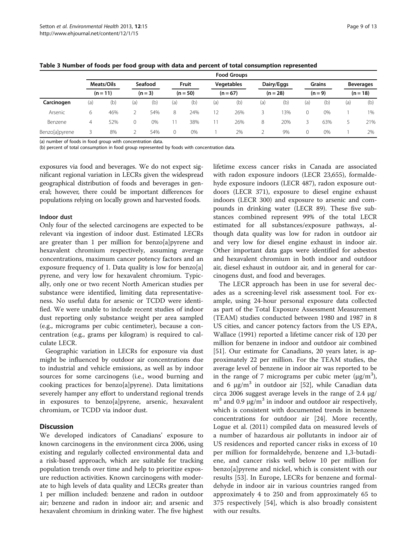|                | <b>Food Groups</b>             |            |     |           |     |            |                   |            |            |            |               |           |                  |            |  |
|----------------|--------------------------------|------------|-----|-----------|-----|------------|-------------------|------------|------------|------------|---------------|-----------|------------------|------------|--|
|                | Meats/Oils<br>Seafood<br>Fruit |            |     |           |     |            | <b>Vegetables</b> |            | Dairy/Eggs |            | <b>Grains</b> |           | <b>Beverages</b> |            |  |
|                |                                | $(n = 11)$ |     | $(n = 3)$ |     | $(n = 50)$ |                   | $(n = 67)$ |            | $(n = 28)$ |               | $(n = 9)$ |                  | $(n = 18)$ |  |
| Carcinogen     | (a)                            | (b)        | (a) | (b)       | (a) | (b)        | (a)               | (b)        | (a)        | (b)        | (a)           | (b)       | (a)              | (b)        |  |
| Arsenic        | 6                              | 46%        |     | 54%       | 8   | 24%        | 12                | 26%        |            | 3%         | 0             | 0%        |                  | 1%         |  |
| Benzene        | 4                              | 52%        | 0   | 0%        |     | 38%        |                   | 26%        | 8          | 20%        |               | 63%       | כ                | 21%        |  |
| Benzo[a]pyrene |                                | 8%         |     | 54%       |     | 0%         |                   | 2%         |            | 9%         | 0             | 0%        |                  | 2%         |  |

<span id="page-8-0"></span>Table 3 Number of foods per food group with data and percent of total consumption represented

(a) number of foods in food group with concentration data.

(b) percent of total consumption in food group represented by foods with concentration data.

exposures via food and beverages. We do not expect significant regional variation in LECRs given the widespread geographical distribution of foods and beverages in general; however, there could be important differences for populations relying on locally grown and harvested foods.

#### Indoor dust

Only four of the selected carcinogens are expected to be relevant via ingestion of indoor dust. Estimated LECRs are greater than 1 per million for benzo[a]pyrene and hexavalent chromium respectively, assuming average concentrations, maximum cancer potency factors and an exposure frequency of 1. Data quality is low for benzo[a] pyrene, and very low for hexavalent chromium. Typically, only one or two recent North American studies per substance were identified, limiting data representativeness. No useful data for arsenic or TCDD were identified. We were unable to include recent studies of indoor dust reporting only substance weight per area sampled (e.g., micrograms per cubic centimeter), because a concentration (e.g., grams per kilogram) is required to calculate LECR.

Geographic variation in LECRs for exposure via dust might be influenced by outdoor air concentrations due to industrial and vehicle emissions, as well as by indoor sources for some carcinogens (i.e., wood burning and cooking practices for benzo[a]pyrene). Data limitations severely hamper any effort to understand regional trends in exposures to benzo[a]pyrene, arsenic, hexavalent chromium, or TCDD via indoor dust.

#### **Discussion**

We developed indicators of Canadians' exposure to known carcinogens in the environment circa 2006, using existing and regularly collected environmental data and a risk-based approach, which are suitable for tracking population trends over time and help to prioritize exposure reduction activities. Known carcinogens with moderate to high levels of data quality and LECRs greater than 1 per million included: benzene and radon in outdoor air; benzene and radon in indoor air; and arsenic and hexavalent chromium in drinking water. The five highest lifetime excess cancer risks in Canada are associated with radon exposure indoors (LECR 23,655), formaldehyde exposure indoors (LECR 487), radon exposure outdoors (LECR 371), exposure to diesel engine exhaust indoors (LECR 300) and exposure to arsenic and compounds in drinking water (LECR 89). These five substances combined represent 99% of the total LECR estimated for all substances/exposure pathways, although data quality was low for radon in outdoor air and very low for diesel engine exhaust in indoor air. Other important data gaps were identified for asbestos and hexavalent chromium in both indoor and outdoor air, diesel exhaust in outdoor air, and in general for carcinogens dust, and food and beverages.

The LECR approach has been in use for several decades as a screening-level risk assessment tool. For example, using 24-hour personal exposure data collected as part of the Total Exposure Assessment Measurement (TEAM) studies conducted between 1980 and 1987 in 8 US cities, and cancer potency factors from the US EPA, Wallace (1991) reported a lifetime cancer risk of 120 per million for benzene in indoor and outdoor air combined [[51\]](#page-12-0). Our estimate for Canadians, 20 years later, is approximately 22 per million. For the TEAM studies, the average level of benzene in indoor air was reported to be in the range of 7 micrograms per cubic meter  $(\mu g/m^3)$ , and 6  $\mu$ g/m<sup>3</sup> in outdoor air [\[52](#page-12-0)], while Canadian data circa 2006 suggest average levels in the range of 2.4 μg/  $m<sup>3</sup>$  and 0.9 μg/m<sup>3</sup> in indoor and outdoor air respectively, which is consistent with documented trends in benzene concentrations for outdoor air [\[24\]](#page-11-0). More recently, Logue et al. (2011) compiled data on measured levels of a number of hazardous air pollutants in indoor air of US residences and reported cancer risks in excess of 10 per million for formaldehyde, benzene and 1,3-butadiene, and cancer risks well below 10 per million for benzo[a]pyrene and nickel, which is consistent with our results [[53\]](#page-12-0). In Europe, LECRs for benzene and formaldehyde in indoor air in various countries ranged from approximately 4 to 250 and from approximately 65 to 375 respectively [\[54](#page-12-0)], which is also broadly consistent with our results.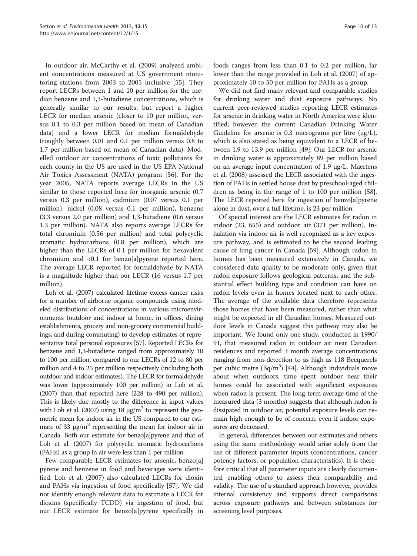In outdoor air, McCarthy et al. (2009) analyzed ambient concentrations measured at US government monitoring stations from 2003 to 2005 inclusive [\[55](#page-12-0)]. They report LECRs between 1 and 10 per million for the median benzene and 1,3-butadiene concentrations, which is generally similar to our results, but report a higher LECR for median arsenic (closer to 10 per million, versus 0.1 to 0.3 per million based on mean of Canadian data) and a lower LECR for median formaldehyde (roughly between 0.01 and 0.1 per million versus 0.8 to 1.7 per million based on mean of Canadian data). Modelled outdoor air concentrations of toxic pollutants for each county in the US are used in the US EPA National Air Toxics Assessment (NATA) program [\[56](#page-12-0)]. For the year 2005, NATA reports average LECRs in the US similar to those reported here for inorganic arsenic (0.7 versus 0.3 per million), cadmium (0.07 versus 0.1 per million), nickel (0.08 versus 0.1 per million), benzene (3.3 versus 2.0 per million) and 1,3-butadiene (0.6 versus 1.3 per million). NATA also reports average LECRs for total chromium (0.56 per million) and total polycyclic aromatic hydrocarbons (0.8 per million), which are higher than the LECRs of 0.1 per million for hexavalent chromium and <0.1 for benzo[a]pyrene reported here. The average LECR reported for formaldehyde by NATA is a magnitude higher than our LECR (16 versus 1.7 per million).

Loh et al. (2007) calculated lifetime excess cancer risks for a number of airborne organic compounds using modeled distributions of concentrations in various microenvironments (outdoor and indoor at home, in offices, dining establishments, grocery and non-grocery commercial buildings, and during commuting) to develop estimates of representative total personal exposures [\[57\]](#page-12-0). Reported LECRs for benzene and 1,3-butadiene ranged from approximately 10 to 100 per million, compared to our LECRs of 12 to 80 per million and 4 to 25 per million respectively (including both outdoor and indoor estimates). The LECR for formaldehyde was lower (approximately 100 per million) in Loh et al. (2007) than that reported here (228 to 490 per million). This is likely due mostly to the difference in input values with Loh et al. (2007) using 18  $\mu$ g/m<sup>3</sup> to represent the geometric mean for indoor air in the US compared to our estimate of 33  $\mu$ g/m<sup>3</sup> representing the mean for indoor air in Canada. Both our estimate for benzo[a]pyrene and that of Loh et al. (2007) for polycyclic aromatic hydrocarbons (PAHs) as a group in air were less than 1 per million.

Few comparable LECR estimates for arsenic, benzo[a] pyrene and benzene in food and beverages were identified. Loh et al. (2007) also calculated LECRs for dioxin and PAHs via ingestion of food specifically [\[57](#page-12-0)]. We did not identify enough relevant data to estimate a LECR for dioxins (specifically TCDD) via ingestion of food, but our LECR estimate for benzo[a]pyrene specifically in

foods ranges from less than 0.1 to 0.2 per million, far lower than the range provided in Loh et al. (2007) of approximately 10 to 50 per million for PAHs as a group.

We did not find many relevant and comparable studies for drinking water and dust exposure pathways. No current peer-reviewed studies reporting LECR estimates for arsenic in drinking water in North America were identified; however, the current Canadian Drinking Water Guideline for arsenic is 0.3 micrograms per litre (μg/L), which is also stated as being equivalent to a LECR of between 1.9 to 13.9 per million [\[49](#page-12-0)]. Our LECR for arsenic in drinking water is approximately 89 per million based on an average input concentration of 1.9 μg/L. Maertens et al. (2008) assessed the LECR associated with the ingestion of PAHs in settled house dust by preschool-aged children as being in the range of 1 to 100 per million [[58](#page-12-0)]. The LECR reported here for ingestion of benzo[a]pyrene alone in dust, over a full lifetime, is 23 per million.

Of special interest are the LECR estimates for radon in indoor (23, 655) and outdoor air (371 per million). Inhalation via indoor air is well recognized as a key exposure pathway, and is estimated to be the second leading cause of lung cancer in Canada [[59](#page-12-0)]. Although radon in homes has been measured extensively in Canada, we considered data quality to be moderate only, given that radon exposure follows geological patterns, and the substantial effect building type and condition can have on radon levels even in homes located next to each other. The average of the available data therefore represents those homes that have been measured, rather than what might be expected in all Canadian homes. Measured outdoor levels in Canada suggest this pathway may also be important. We found only one study, conducted in 1990/ 91, that measured radon in outdoor air near Canadian residences and reported 3 month average concentrations ranging from non-detection to as high as 118 Becquerels per cubic metre  $(Bq/m^3)$  [\[44\]](#page-12-0). Although individuals move about when outdoors, time spent outdoor near their homes could be associated with significant exposures when radon is present. The long-term average time of the measured data (3 months) suggests that although radon is dissipated in outdoor air, potential exposure levels can remain high enough to be of concern, even if indoor exposures are decreased.

In general, differences between our estimates and others using the same methodology would arise solely from the use of different parameter inputs (concentrations, cancer potency factors, or population characteristics). It is therefore critical that all parameter inputs are clearly documented, enabling others to assess their comparability and validity. The use of a standard approach however, provides internal consistency and supports direct comparisons across exposure pathways and between substances for screening level purposes.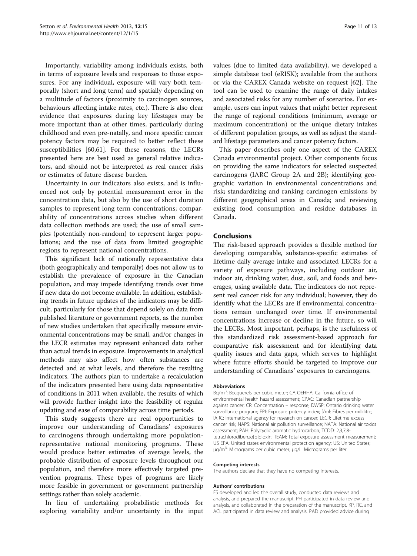Importantly, variability among individuals exists, both in terms of exposure levels and responses to those exposures. For any individual, exposure will vary both temporally (short and long term) and spatially depending on a multitude of factors (proximity to carcinogen sources, behaviours affecting intake rates, etc.). There is also clear evidence that exposures during key lifestages may be more important than at other times, particularly during childhood and even pre-natally, and more specific cancer potency factors may be required to better reflect these susceptibilities [\[60,61\]](#page-12-0). For these reasons, the LECRs presented here are best used as general relative indicators, and should not be interpreted as real cancer risks or estimates of future disease burden.

Uncertainty in our indicators also exists, and is influenced not only by potential measurement error in the concentration data, but also by the use of short duration samples to represent long term concentrations; comparability of concentrations across studies when different data collection methods are used; the use of small samples (potentially non-random) to represent larger populations; and the use of data from limited geographic regions to represent national concentrations.

This significant lack of nationally representative data (both geographically and temporally) does not allow us to establish the prevalence of exposure in the Canadian population, and may impede identifying trends over time if new data do not become available. In addition, establishing trends in future updates of the indicators may be difficult, particularly for those that depend solely on data from published literature or government reports, as the number of new studies undertaken that specifically measure environmental concentrations may be small, and/or changes in the LECR estimates may represent enhanced data rather than actual trends in exposure. Improvements in analytical methods may also affect how often substances are detected and at what levels, and therefore the resulting indicators. The authors plan to undertake a recalculation of the indicators presented here using data representative of conditions in 2011 when available, the results of which will provide further insight into the feasibility of regular updating and ease of comparability across time periods.

This study suggests there are real opportunities to improve our understanding of Canadians' exposures to carcinogens through undertaking more populationrepresentative national monitoring programs. These would produce better estimates of average levels, the probable distribution of exposure levels throughout our population, and therefore more effectively targeted prevention programs. These types of programs are likely more feasible in government or government partnership settings rather than solely academic.

In lieu of undertaking probabilistic methods for exploring variability and/or uncertainty in the input values (due to limited data availability), we developed a simple database tool (eRISK); available from the authors or via the CAREX Canada website on request [[62](#page-12-0)]. The tool can be used to examine the range of daily intakes and associated risks for any number of scenarios. For example, users can input values that might better represent the range of regional conditions (minimum, average or maximum concentration) or the unique dietary intakes of different population groups, as well as adjust the standard lifestage parameters and cancer potency factors.

This paper describes only one aspect of the CAREX Canada environmental project. Other components focus on providing the same indicators for selected suspected carcinogens (IARC Group 2A and 2B); identifying geographic variation in environmental concentrations and risk; standardizing and ranking carcinogen emissions by different geographical areas in Canada; and reviewing existing food consumption and residue databases in Canada.

#### Conclusions

The risk-based approach provides a flexible method for developing comparable, substance-specific estimates of lifetime daily average intake and associated LECRs for a variety of exposure pathways, including outdoor air, indoor air, drinking water, dust, soil, and foods and beverages, using available data. The indicators do not represent real cancer risk for any individual; however, they do identify what the LECRs are if environmental concentrations remain unchanged over time. If environmental concentrations increase or decline in the future, so will the LECRs. Most important, perhaps, is the usefulness of this standardized risk assessment-based approach for comparative risk assessment and for identifying data quality issues and data gaps, which serves to highlight where future efforts should be targeted to improve our understanding of Canadians' exposures to carcinogens.

#### Abbreviations

Bq/m<sup>3</sup>: Becquerels per cubic meter; CA OEHHA: California office of environmental health hazard assessment; CPAC: Canadian partnership against cancer; CR: Concentration – response; DWSP: Ontario drinking water surveillance program; EPI: Exposure potency index; f/ml: Fibres per millilitre; IARC: International agency for research on cancer; LECR: Lifetime excess cancer risk; NAPS: National air pollution surveillance; NATA: National air toxics assessment; PAH: Polycyclic aromatic hydrocarbon; TCDD: 2,3,7,8 tetrachlorodibenzo[p]dioxin; TEAM: Total exposure assessment measurement; US EPA: United states environmental protection agency; US: United States; μg/m<sup>3</sup>: Micrograms per cubic meter; μg/L: Micrograms per liter.

#### Competing interests

The authors declare that they have no competing interests.

#### Authors' contributions

ES developed and led the overall study, conducted data reviews and analysis, and prepared the manuscript. PH participated in data review and analysis, and collaborated in the preparation of the manuscript. KP, RC, and ACL participated in data review and analysis. PAD provided advice during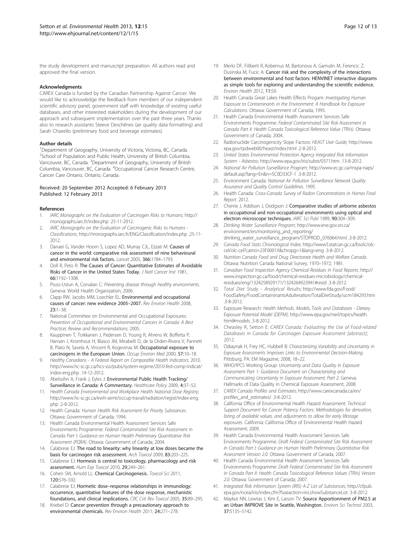<span id="page-11-0"></span>the study development and manuscript preparation. All authors read and approved the final version.

#### Acknowledgments

CAREX Canada is funded by the Canadian Partnership Against Cancer. We would like to acknowledge the feedback from members of our independent scientific advisory panel, government staff with knowledge of existing useful databases, and other interested stakeholders during the development of our approach and subsequent implementation over the past three years. Thanks also to research assistants Steeve Deschênes (air quality data formatting) and Sarah Chiarello (preliminary food and beverage estimates).

#### Author details

<sup>1</sup>Department of Geography, University of Victoria, Victoria, BC, Canada. <sup>2</sup>School of Population and Public Health, University of British Columbia, Vancouver, BC, Canada. <sup>3</sup>Department of Geography, University of British Columbia, Vancouver, BC, Canada. <sup>4</sup>Occupational Cancer Research Centre, Cancer Care Ontario, Ontario, Canada.

#### Received: 20 September 2012 Accepted: 6 February 2013 Published: 12 February 2013

#### References

- 1. IARC Monographs on the Evaluation of Carcinogen Risks to Humans; [http://](http://monographs.iarc.fr/index.php) [monographs.iarc.fr/index.php](http://monographs.iarc.fr/index.php) .25-11-2012.
- 2. IARC Monographs on the Evaluation of Carcinogenic Risks to Humans Classifications;<http://monographs.iarc.fr/ENG/Classification/index.php> .25-11- 2012.
- 3. Danaei G, Vander Hoorn S, Lopez AD, Murray CJL, Ezzati M: Causes of cancer in the world: comparative risk assessment of nine behavioural and environmental risk factors. Lancet 2005, 366:1784–1793.
- 4. Doll R, Peto R: The Causes of Cancer: Quantitative Estimates of Avoidable Risks of Cancer in the United States Today. J Natl Cancer Inst 1981, 66:1192–1308.
- Pruss-Ustun A, Corvalan C: Preventing disease through healthy environments. Geneva: World Health Organization; 2006.
- 6. Clapp RW, Jacobs MM, Loechler EL: Environmental and occupational causes of cancer: new evidence 2005–2007. Rev Environ Health 2008, 23:1–38.
- 7. National Committee on Environmental and Occupational Exposures: Prevention of Occupational and Environmental Cancers in Canada: A Best Practices Review and Recommendations; 2005.
- 8. Kauppinen T, Toikkanen J, Pedersen D, Young R, Ahrens W, Boffetta P, Hansen J, Kromhout H, Blasco JM, Mirabelli D, de la Orden-Rivera V, Pannett B, Plato N, Savela A, Vincent R, Kogevinas M: Occupational exposure to carcinogens in the European Union. Occup Environ Med 2000, 57:10–18.
- 9. Healthy Canadians A Federal Report on Comparable Health Indicators; 2010. [http://www.hc-sc.gc.ca/hcs-sss/pubs/system-regime/2010-fed-comp-indicat/](http://www.hc-sc.gc.ca/hcs-sss/pubs/system-regime/2010-fed-comp-indicat/index-eng.php) [index-eng.php](http://www.hc-sc.gc.ca/hcs-sss/pubs/system-regime/2010-fed-comp-indicat/index-eng.php) .14-12-2012.
- 10. Abelsohn A, Frank J, Eyles J: Environmental Public Health Tracking/ Surveillance in Canada: A Commentary. Healthcare Policy 2009, 4:37–52.
- 11. Health Canada Environmental and Workplace Health National Dose Registry; [http://www.hc-sc.gc.ca/ewh-semt/occup-travail/radiation/regist/index-eng.](http://www.hc-sc.gc.ca/ewh-semt/occup-travail/radiation/regist/index-eng.php) [php](http://www.hc-sc.gc.ca/ewh-semt/occup-travail/radiation/regist/index-eng.php) .2-8-2012.
- 12. Health Canada: Human Health Risk Assessment for Priority Substances. Ottawa: Government of Canada; 1994.
- 13. Health Canada Environmental Health Assessment Services Safe Environments Programme: Federal Contaminated Site Risk Assessment in Canada Part I: Guidance on Human Health Preliminary Quantitative Risk Assessment (PQRA). Ottawa: Government of Canada; 2004.
- 14. Calabrese EJ: The road to linearity: why linearity at low doses became the basis for carcinogen risk assessment. Arch Toxicol 2009, 83:203–225.
- 15. Calabrese EJ: Hormesis is central to toxicology, pharmacology and risk assessment. Hum Exp Toxicol 2010, 29:249–261.
- 16. Cohen SM, Arnold LL: Chemical Carcinogenesis. Toxicol Sci 2011, 120:S76–S92.
- 17. Calabrese EJ: Hormetic dose–response relationships in immunology: occurrence, quantitative features of the dose response, mechanistic foundations, and clinical implications. CRC Crit Rev Toxicol 2005, 35:89–295.
- 18. Kriebel D: Cancer prevention through a precautionary approach to environmental chemicals. Rev Environ Health 2011, 24:271–278.
- 19. Merlo DF, Filiberti R, Kobernus M, Bartonova A, Gamulin M, Ferencic Z, Dusinska M, Fucic A: Cancer risk and the complexity of the interactions between environmental and host factors: HENVINET interactive diagrams as simple tools for exploring and understanding the scientific evidence. Environ Health 2012, 11:S9.
- 20. Health Canada Great Lakes Health Effects Progam: Investigating Human Exposure to Contaminants in the Environment: A Handbook for Exposure Calculations. Ottawa: Government of Canada; 1995.
- 21. Health Canada Environmental Health Assessment Services Safe Environments Programme: Federal Contaminated Site Risk Assessment in Canada Part II: Health Canada Toxicological Reference Value (TRVs). Ottawa: Government of Canada; 2004.
- 22. Radionuclide Carcinogenicity Slope Factors: HEAST User Guide; [http://www.](http://www.epa.gov/rpdweb00/heast/index.html) [epa.gov/rpdweb00/heast/index.html](http://www.epa.gov/rpdweb00/heast/index.html) .2-8-2012.
- 23. United States Environmental Protection Agency Integrated Risk Information System - Asbestos;<http://www.epa.gov/iris/subst/0371.htm> .13-8-2012.
- 24. National Air Pollution Surveillance Program; [http://www.ec.gc.ca/rnspa-naps/](http://www.ec.gc.ca/rnspa-naps/default.asp?lang=En&n=5C0D33CF-1) [default.asp?lang=En&n=5C0D33CF-1](http://www.ec.gc.ca/rnspa-naps/default.asp?lang=En&n=5C0D33CF-1) .3-8-2012.
- 25. Environment Canada: National Air Pollution Surveillance Network Quality Assurance and Quality Control Guidelines. 1995.
- 26. Health Canada: Cross-Canada Survey of Radon Concentrations in Homes Final Report. 2012.
- 27. Cherrie J, Addison J, Dodgson J: Comparative studies of airborne asbestos in occupational and non-occupational environments using optical and electron microscope techniques. IARC Sci Publ 1989, 90:304–309.
- 28. Drinking Water Surveillance Program; [http://www.ene.gov.on.ca/](http://www.ene.gov.on.ca/environment/en/monitoring_and_reporting/drinking_water_surveillance_program/STDPROD_076064.html) [environment/en/monitoring\\_and\\_reporting/](http://www.ene.gov.on.ca/environment/en/monitoring_and_reporting/drinking_water_surveillance_program/STDPROD_076064.html) [drinking\\_water\\_surveillance\\_program/STDPROD\\_076064.html](http://www.ene.gov.on.ca/environment/en/monitoring_and_reporting/drinking_water_surveillance_program/STDPROD_076064.html) .3-8-2012.
- 29. Canada Food Stats Chronological Index; [http://www5.statcan.gc.ca/bsolc/olc](http://www5.statcan.gc.ca/bsolc/olc-cel/olc-cel?catno=23F0001X&chropg=1&lang=eng)[cel/olc-cel?catno=23F0001X&chropg=1&lang=eng](http://www5.statcan.gc.ca/bsolc/olc-cel/olc-cel?catno=23F0001X&chropg=1&lang=eng) .3-8-2012.
- 30. Nutrition Canada Food and Drug Directorate Health and Welfare Canada. Ottawa: Nutrition Canada National Survey, 1970–1972; 1981.
- 31. Canadian Food Inspection Agency Chemical Residues in Food Reports; [http://](http://www.inspection.gc.ca/food/chemical-residues-microbiology/chemical-residues/eng/1324258929171/1324264923941#resid) [www.inspection.gc.ca/food/chemical-residues-microbiology/chemical](http://www.inspection.gc.ca/food/chemical-residues-microbiology/chemical-residues/eng/1324258929171/1324264923941#resid)[residues/eng/1324258929171/1324264923941#resid](http://www.inspection.gc.ca/food/chemical-residues-microbiology/chemical-residues/eng/1324258929171/1324264923941#resid) .3-8-2012.
- 32. Total Diet Study Analytical Results; [http://www.fda.gov/Food/](http://www.fda.gov/Food/FoodSafety/FoodContaminantsAdulteration/TotalDietStudy/ucm184293.htm) [FoodSafety/FoodContaminantsAdulteration/TotalDietStudy/ucm184293.htm](http://www.fda.gov/Food/FoodSafety/FoodContaminantsAdulteration/TotalDietStudy/ucm184293.htm) .3-8-2012.
- 33. Exposure Research: Health Methods, Models, Tools and Databases Dietary Exposure Potential Model (DEPM); [http://www.epa.gov/nerl/topics/health.](http://www.epa.gov/nerl/topics/health.html#models) [html#models](http://www.epa.gov/nerl/topics/health.html#models) .3-8-2012.
- 34. Cheasley R, Setton E: CAREX Canada: Evaluating the Use of Food-related Databases in Canada for Carcinogen Exposure Assessment [abstract]; 2012.
- 35. Ozkaynak H, Frey HC, Hubbell B: Characterizing Variability and Uncertainty in Exposure Assessments Improves Links to Environmental Decision-Making. Pittsburg, PA: EM Magazine; 2008, 18–22.
- 36. WHO/IPCS Working Group: Uncertainty and Data Quality in Exposure Assessment Part 1: Guidance Document on Characterizing and Communicating Uncertainty in Exposure Assessment; Part 2. Geneva: Hallmarks of Data Quality in Chemical Exposure Assessment; 2008.
- 37. CAREX Canada Profiles and Estimates; [http://www.carexcanada.ca/en/](http://www.carexcanada.ca/en/profiles_and_estimates/) [profiles\\_and\\_estimates/](http://www.carexcanada.ca/en/profiles_and_estimates/) .3-8-2012.
- 38. California Office of Environmental Health Hazard Assessment: Technical Support Document for Cancer Potency Factors: Methodologies for derivation, listing of available values, and adjustments to allow for early lifestage exposures. California: California Office of Environmental Health Hazard Assessment; 2009.
- 39. Health Canada Environmental Health Assessment Services Safe Environments Programme: Draft Federal Contaminated Site Risk Assessment in Canada Part I: Guidance on Human Health Preliminary Quantitative Risk Assessment Version 2.0. Ottawa: Government of Canada; 2007.
- 40. Health Canada Environmental Health Assessment Services Safe Environments Programme: Draft Federal Contaminated Site Risk Assessment in Canada Part II: Health Canada Toxicological Reference Values (TRVs) Version 2.0. Ottawa: Government of Canada; 2007.
- 41. Integrated Risk Information System (IRIS) A-Z List of Substances; [http://cfpub.](http://cfpub.epa.gov/ncea/iris/index.cfm?fuseaction=iris.showSubstanceList) [epa.gov/ncea/iris/index.cfm?fuseaction=iris.showSubstanceList](http://cfpub.epa.gov/ncea/iris/index.cfm?fuseaction=iris.showSubstanceList) .3-8-2012.
- 42. Maykut NN, Lewtas J, Kim E, Larson TV: Source Apportionment of PM2.5 at an Urban IMPROVE Site in Seattle, Washington. Environ Sci Technol 2003, 37:5135–5142.